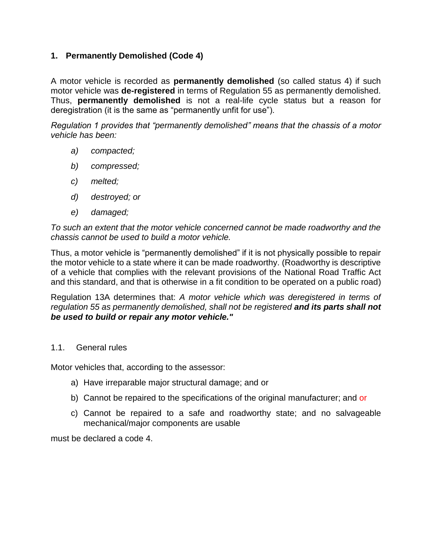# **1. Permanently Demolished (Code 4)**

A motor vehicle is recorded as **permanently demolished** (so called status 4) if such motor vehicle was **de-registered** in terms of Regulation 55 as permanently demolished. Thus, **permanently demolished** is not a real-life cycle status but a reason for deregistration (it is the same as "permanently unfit for use").

*Regulation 1 provides that "permanently demolished" means that the chassis of a motor vehicle has been:* 

- *a) compacted;*
- *b) compressed;*
- *c) melted;*
- *d) destroyed; or*
- *e) damaged;*

*To such an extent that the motor vehicle concerned cannot be made roadworthy and the chassis cannot be used to build a motor vehicle.*

Thus, a motor vehicle is "permanently demolished" if it is not physically possible to repair the motor vehicle to a state where it can be made roadworthy. (Roadworthy is descriptive of a vehicle that complies with the relevant provisions of the National Road Traffic Act and this standard, and that is otherwise in a fit condition to be operated on a public road)

Regulation 13A determines that: *A motor vehicle which was deregistered in terms of regulation 55 as permanently demolished, shall not be registered and its parts shall not be used to build or repair any motor vehicle."*

### 1.1. General rules

Motor vehicles that, according to the assessor:

- a) Have irreparable major structural damage; and or
- b) Cannot be repaired to the specifications of the original manufacturer; and or
- c) Cannot be repaired to a safe and roadworthy state; and no salvageable mechanical/major components are usable

must be declared a code 4.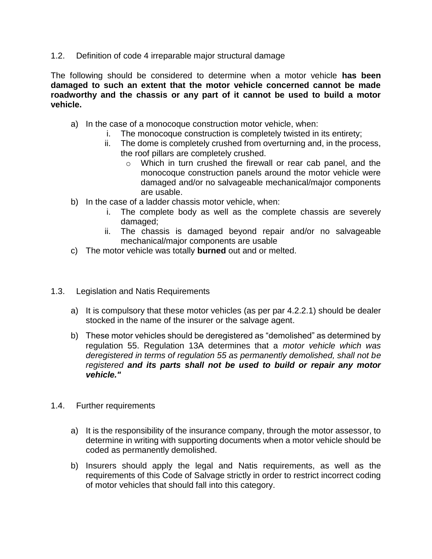1.2. Definition of code 4 irreparable major structural damage

The following should be considered to determine when a motor vehicle **has been damaged to such an extent that the motor vehicle concerned cannot be made roadworthy and the chassis or any part of it cannot be used to build a motor vehicle.**

- a) In the case of a monocoque construction motor vehicle, when:
	- i. The monocoque construction is completely twisted in its entirety;
	- ii. The dome is completely crushed from overturning and, in the process, the roof pillars are completely crushed.
		- o Which in turn crushed the firewall or rear cab panel, and the monocoque construction panels around the motor vehicle were damaged and/or no salvageable mechanical/major components are usable.
- b) In the case of a ladder chassis motor vehicle, when:
	- i. The complete body as well as the complete chassis are severely damaged;
	- ii. The chassis is damaged beyond repair and/or no salvageable mechanical/major components are usable
- c) The motor vehicle was totally **burned** out and or melted.
- 1.3. Legislation and Natis Requirements
	- a) It is compulsory that these motor vehicles (as per par 4.2.2.1) should be dealer stocked in the name of the insurer or the salvage agent.
	- b) These motor vehicles should be deregistered as "demolished" as determined by regulation 55. Regulation 13A determines that a *motor vehicle which was deregistered in terms of regulation 55 as permanently demolished, shall not be registered and its parts shall not be used to build or repair any motor vehicle."*
- 1.4. Further requirements
	- a) It is the responsibility of the insurance company, through the motor assessor, to determine in writing with supporting documents when a motor vehicle should be coded as permanently demolished.
	- b) Insurers should apply the legal and Natis requirements, as well as the requirements of this Code of Salvage strictly in order to restrict incorrect coding of motor vehicles that should fall into this category.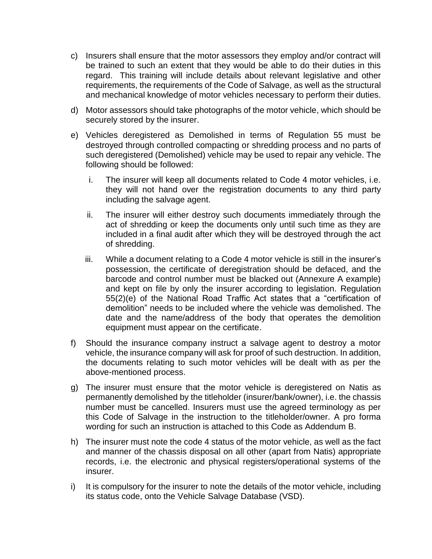- c) Insurers shall ensure that the motor assessors they employ and/or contract will be trained to such an extent that they would be able to do their duties in this regard. This training will include details about relevant legislative and other requirements, the requirements of the Code of Salvage, as well as the structural and mechanical knowledge of motor vehicles necessary to perform their duties.
- d) Motor assessors should take photographs of the motor vehicle, which should be securely stored by the insurer.
- e) Vehicles deregistered as Demolished in terms of Regulation 55 must be destroyed through controlled compacting or shredding process and no parts of such deregistered (Demolished) vehicle may be used to repair any vehicle. The following should be followed:
	- i. The insurer will keep all documents related to Code 4 motor vehicles, i.e. they will not hand over the registration documents to any third party including the salvage agent.
	- ii. The insurer will either destroy such documents immediately through the act of shredding or keep the documents only until such time as they are included in a final audit after which they will be destroyed through the act of shredding.
	- iii. While a document relating to a Code 4 motor vehicle is still in the insurer's possession, the certificate of deregistration should be defaced, and the barcode and control number must be blacked out (Annexure A example) and kept on file by only the insurer according to legislation. Regulation 55(2)(e) of the National Road Traffic Act states that a "certification of demolition" needs to be included where the vehicle was demolished. The date and the name/address of the body that operates the demolition equipment must appear on the certificate.
- f) Should the insurance company instruct a salvage agent to destroy a motor vehicle, the insurance company will ask for proof of such destruction. In addition, the documents relating to such motor vehicles will be dealt with as per the above-mentioned process.
- g) The insurer must ensure that the motor vehicle is deregistered on Natis as permanently demolished by the titleholder (insurer/bank/owner), i.e. the chassis number must be cancelled. Insurers must use the agreed terminology as per this Code of Salvage in the instruction to the titleholder/owner. A pro forma wording for such an instruction is attached to this Code as Addendum B.
- h) The insurer must note the code 4 status of the motor vehicle, as well as the fact and manner of the chassis disposal on all other (apart from Natis) appropriate records, i.e. the electronic and physical registers/operational systems of the insurer.
- i) It is compulsory for the insurer to note the details of the motor vehicle, including its status code, onto the Vehicle Salvage Database (VSD).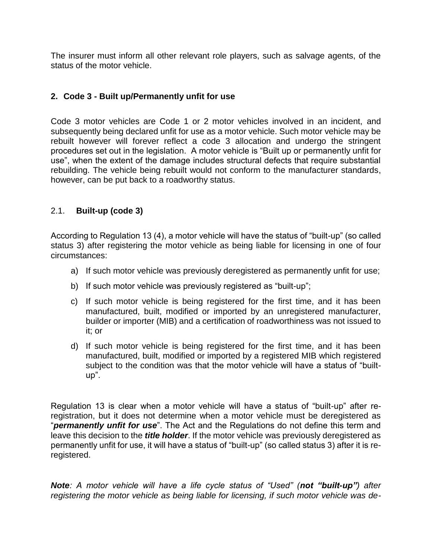The insurer must inform all other relevant role players, such as salvage agents, of the status of the motor vehicle.

## **2. Code 3 - Built up/Permanently unfit for use**

Code 3 motor vehicles are Code 1 or 2 motor vehicles involved in an incident, and subsequently being declared unfit for use as a motor vehicle. Such motor vehicle may be rebuilt however will forever reflect a code 3 allocation and undergo the stringent procedures set out in the legislation. A motor vehicle is "Built up or permanently unfit for use", when the extent of the damage includes structural defects that require substantial rebuilding. The vehicle being rebuilt would not conform to the manufacturer standards, however, can be put back to a roadworthy status.

## 2.1. **Built-up (code 3)**

According to Regulation 13 (4), a motor vehicle will have the status of "built-up" (so called status 3) after registering the motor vehicle as being liable for licensing in one of four circumstances:

- a) If such motor vehicle was previously deregistered as permanently unfit for use;
- b) If such motor vehicle was previously registered as "built-up";
- c) If such motor vehicle is being registered for the first time, and it has been manufactured, built, modified or imported by an unregistered manufacturer, builder or importer (MIB) and a certification of roadworthiness was not issued to it; or
- d) If such motor vehicle is being registered for the first time, and it has been manufactured, built, modified or imported by a registered MIB which registered subject to the condition was that the motor vehicle will have a status of "builtup".

Regulation 13 is clear when a motor vehicle will have a status of "built-up" after reregistration, but it does not determine when a motor vehicle must be deregistered as "*permanently unfit for use*". The Act and the Regulations do not define this term and leave this decision to the *title holder*. If the motor vehicle was previously deregistered as permanently unfit for use, it will have a status of "built-up" (so called status 3) after it is reregistered.

*Note: A motor vehicle will have a life cycle status of "Used" (not "built-up") after registering the motor vehicle as being liable for licensing, if such motor vehicle was de-*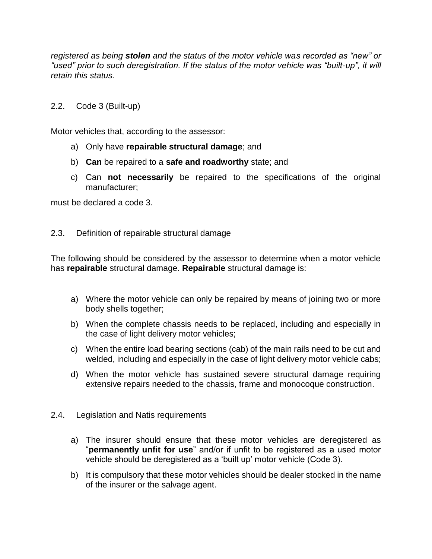*registered as being stolen and the status of the motor vehicle was recorded as "new" or "used" prior to such deregistration. If the status of the motor vehicle was "built-up", it will retain this status.*

### 2.2. Code 3 (Built-up)

Motor vehicles that, according to the assessor:

- a) Only have **repairable structural damage**; and
- b) **Can** be repaired to a **safe and roadworthy** state; and
- c) Can **not necessarily** be repaired to the specifications of the original manufacturer;

must be declared a code 3.

#### 2.3. Definition of repairable structural damage

The following should be considered by the assessor to determine when a motor vehicle has **repairable** structural damage. **Repairable** structural damage is:

- a) Where the motor vehicle can only be repaired by means of joining two or more body shells together;
- b) When the complete chassis needs to be replaced, including and especially in the case of light delivery motor vehicles;
- c) When the entire load bearing sections (cab) of the main rails need to be cut and welded, including and especially in the case of light delivery motor vehicle cabs;
- d) When the motor vehicle has sustained severe structural damage requiring extensive repairs needed to the chassis, frame and monocoque construction.
- 2.4. Legislation and Natis requirements
	- a) The insurer should ensure that these motor vehicles are deregistered as "**permanently unfit for use**" and/or if unfit to be registered as a used motor vehicle should be deregistered as a 'built up' motor vehicle (Code 3).
	- b) It is compulsory that these motor vehicles should be dealer stocked in the name of the insurer or the salvage agent.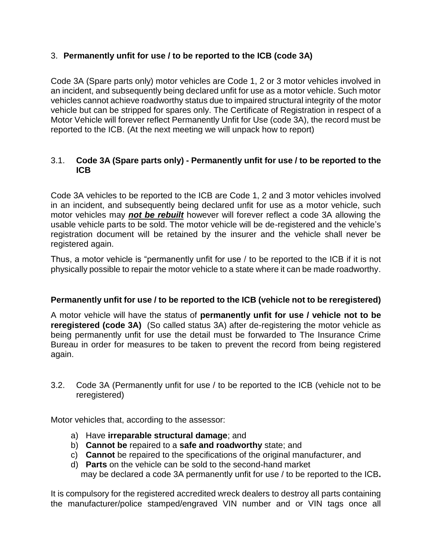# 3. **Permanently unfit for use / to be reported to the ICB (code 3A)**

Code 3A (Spare parts only) motor vehicles are Code 1, 2 or 3 motor vehicles involved in an incident, and subsequently being declared unfit for use as a motor vehicle. Such motor vehicles cannot achieve roadworthy status due to impaired structural integrity of the motor vehicle but can be stripped for spares only. The Certificate of Registration in respect of a Motor Vehicle will forever reflect Permanently Unfit for Use (code 3A), the record must be reported to the ICB. (At the next meeting we will unpack how to report)

## 3.1. **Code 3A (Spare parts only) - Permanently unfit for use / to be reported to the ICB**

Code 3A vehicles to be reported to the ICB are Code 1, 2 and 3 motor vehicles involved in an incident, and subsequently being declared unfit for use as a motor vehicle, such motor vehicles may *not be rebuilt* however will forever reflect a code 3A allowing the usable vehicle parts to be sold. The motor vehicle will be de-registered and the vehicle's registration document will be retained by the insurer and the vehicle shall never be registered again.

Thus, a motor vehicle is "permanently unfit for use / to be reported to the ICB if it is not physically possible to repair the motor vehicle to a state where it can be made roadworthy.

# **Permanently unfit for use / to be reported to the ICB (vehicle not to be reregistered)**

A motor vehicle will have the status of **permanently unfit for use / vehicle not to be reregistered (code 3A)** (So called status 3A) after de-registering the motor vehicle as being permanently unfit for use the detail must be forwarded to The Insurance Crime Bureau in order for measures to be taken to prevent the record from being registered again.

3.2. Code 3A (Permanently unfit for use / to be reported to the ICB (vehicle not to be reregistered)

Motor vehicles that, according to the assessor:

- a) Have **irreparable structural damage**; and
- b) **Cannot be** repaired to a **safe and roadworthy** state; and
- c) **Cannot** be repaired to the specifications of the original manufacturer, and
- d) **Parts** on the vehicle can be sold to the second-hand market may be declared a code 3A permanently unfit for use / to be reported to the ICB**.**

It is compulsory for the registered accredited wreck dealers to destroy all parts containing the manufacturer/police stamped/engraved VIN number and or VIN tags once all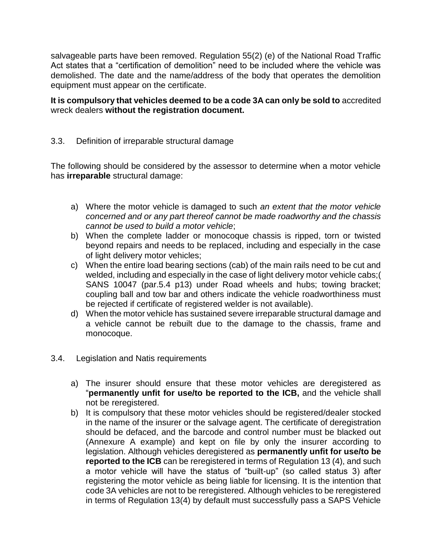salvageable parts have been removed. Regulation 55(2) (e) of the National Road Traffic Act states that a "certification of demolition" need to be included where the vehicle was demolished. The date and the name/address of the body that operates the demolition equipment must appear on the certificate.

**It is compulsory that vehicles deemed to be a code 3A can only be sold to** accredited wreck dealers **without the registration document.**

## 3.3. Definition of irreparable structural damage

The following should be considered by the assessor to determine when a motor vehicle has **irreparable** structural damage:

- a) Where the motor vehicle is damaged to such *an extent that the motor vehicle concerned and or any part thereof cannot be made roadworthy and the chassis cannot be used to build a motor vehicle*;
- b) When the complete ladder or monocoque chassis is ripped, torn or twisted beyond repairs and needs to be replaced, including and especially in the case of light delivery motor vehicles;
- c) When the entire load bearing sections (cab) of the main rails need to be cut and welded, including and especially in the case of light delivery motor vehicle cabs;( SANS 10047 (par.5.4 p13) under Road wheels and hubs; towing bracket; coupling ball and tow bar and others indicate the vehicle roadworthiness must be rejected if certificate of registered welder is not available).
- d) When the motor vehicle has sustained severe irreparable structural damage and a vehicle cannot be rebuilt due to the damage to the chassis, frame and monocoque.
- 3.4. Legislation and Natis requirements
	- a) The insurer should ensure that these motor vehicles are deregistered as "**permanently unfit for use/to be reported to the ICB,** and the vehicle shall not be reregistered.
	- b) It is compulsory that these motor vehicles should be registered/dealer stocked in the name of the insurer or the salvage agent. The certificate of deregistration should be defaced, and the barcode and control number must be blacked out (Annexure A example) and kept on file by only the insurer according to legislation. Although vehicles deregistered as **permanently unfit for use/to be reported to the ICB** can be reregistered in terms of Regulation 13 (4), and such a motor vehicle will have the status of "built-up" (so called status 3) after registering the motor vehicle as being liable for licensing. It is the intention that code 3A vehicles are not to be reregistered. Although vehicles to be reregistered in terms of Regulation 13(4) by default must successfully pass a SAPS Vehicle